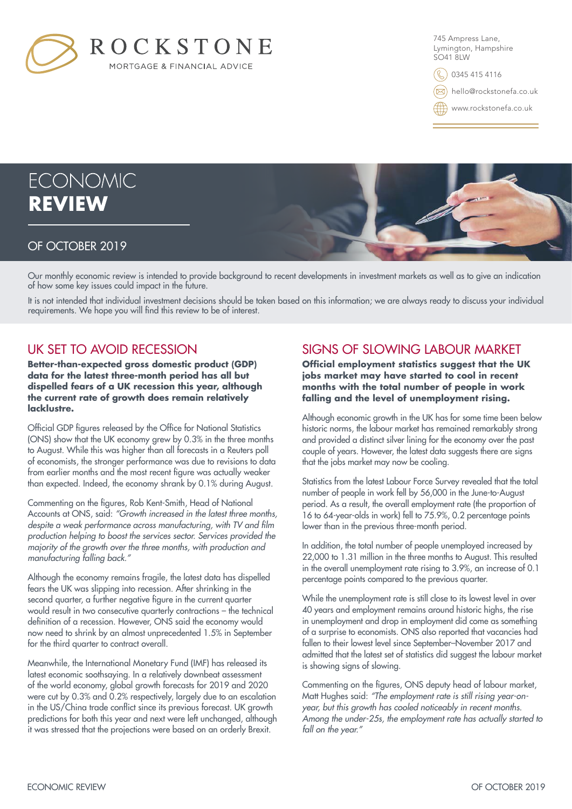

745 Ampress Lane, Lymington, Hampshire SO41 8LW

0345 415 4116

hello@rockstonefa.co.uk

www.rockstonefa.co.uk

# **ECONOMIC REVIEW**

#### OF OCTOBER 2019

Our monthly economic review is intended to provide background to recent developments in investment markets as well as to give an indication of how some key issues could impact in the future.

It is not intended that individual investment decisions should be taken based on this information; we are always ready to discuss your individual requirements. We hope you will find this review to be of interest.

### UK SET TO AVOID RECESSION

**Better-than-expected gross domestic product (GDP) data for the latest three-month period has all but dispelled fears of a UK recession this year, although the current rate of growth does remain relatively lacklustre.**

Official GDP figures released by the Office for National Statistics (ONS) show that the UK economy grew by 0.3% in the three months to August. While this was higher than all forecasts in a Reuters poll of economists, the stronger performance was due to revisions to data from earlier months and the most recent figure was actually weaker than expected. Indeed, the economy shrank by 0.1% during August.

Commenting on the figures, Rob Kent-Smith, Head of National Accounts at ONS, said: *"Growth increased in the latest three months,*  despite a weak performance across manufacturing, with TV and film *production helping to boost the services sector. Services provided the majority of the growth over the three months, with production and manufacturing falling back."*

Although the economy remains fragile, the latest data has dispelled fears the UK was slipping into recession. After shrinking in the second quarter, a further negative figure in the current quarter would result in two consecutive quarterly contractions – the technical definition of a recession. However, ONS said the economy would now need to shrink by an almost unprecedented 1.5% in September for the third quarter to contract overall.

Meanwhile, the International Monetary Fund (IMF) has released its latest economic soothsaying. In a relatively downbeat assessment of the world economy, global growth forecasts for 2019 and 2020 were cut by 0.3% and 0.2% respectively, largely due to an escalation in the US/China trade conflict since its previous forecast. UK growth predictions for both this year and next were left unchanged, although it was stressed that the projections were based on an orderly Brexit.

# SIGNS OF SLOWING LABOUR MARKET

**Official employment statistics suggest that the UK jobs market may have started to cool in recent months with the total number of people in work falling and the level of unemployment rising.**

Although economic growth in the UK has for some time been below historic norms, the labour market has remained remarkably strong and provided a distinct silver lining for the economy over the past couple of years. However, the latest data suggests there are signs that the jobs market may now be cooling.

Statistics from the latest Labour Force Survey revealed that the total number of people in work fell by 56,000 in the June-to-August period. As a result, the overall employment rate (the proportion of 16 to 64-year-olds in work) fell to 75.9%, 0.2 percentage points lower than in the previous three-month period.

In addition, the total number of people unemployed increased by 22,000 to 1.31 million in the three months to August. This resulted in the overall unemployment rate rising to 3.9%, an increase of 0.1 percentage points compared to the previous quarter.

While the unemployment rate is still close to its lowest level in over 40 years and employment remains around historic highs, the rise in unemployment and drop in employment did come as something of a surprise to economists. ONS also reported that vacancies had fallen to their lowest level since September–November 2017 and admitted that the latest set of statistics did suggest the labour market is showing signs of slowing.

Commenting on the figures, ONS deputy head of labour market, Matt Hughes said: *"The employment rate is still rising year-onyear, but this growth has cooled noticeably in recent months. Among the under-25s, the employment rate has actually started to fall on the year."*